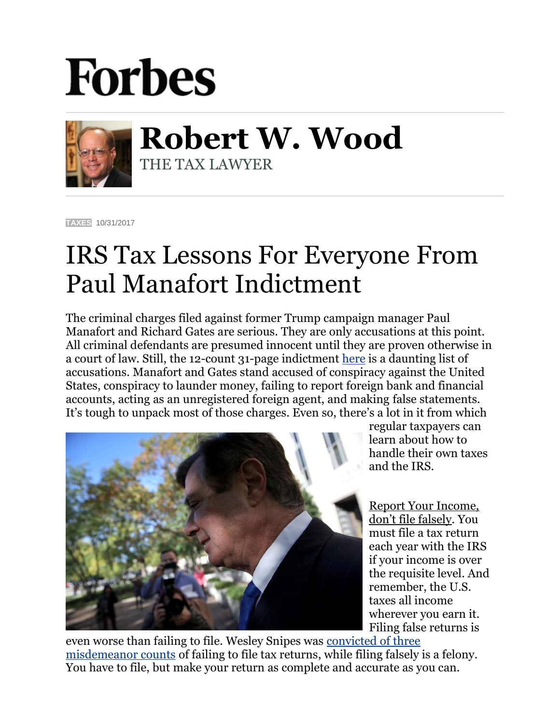## **Forbes**



**Robert W. Wood** THE TAX LAWYER

**[TAXES](https://www.forbes.com/taxes)** 10/31/2017

## IRS Tax Lessons For Everyone From Paul Manafort Indictment

The criminal charges filed against former Trump campaign manager Paul Manafort and Richard Gates are serious. They are only accusations at this point. All criminal defendants are presumed innocent until they are proven otherwise in a court of law. Still, the 12-count 31-page indictment [here](https://www.justice.gov/file/1007271/download) is a daunting list of accusations. Manafort and Gates stand accused of conspiracy against the United States, conspiracy to launder money, failing to report foreign bank and financial accounts, acting as an unregistered foreign agent, and making false statements. It's tough to unpack most of those charges. Even so, there's a lot in it from which



regular taxpayers can learn about how to handle their own taxes and the IRS.

Report Your Income, don't file falsely. You must file a tax return each year with the IRS if your income is over the requisite level. And remember, the U.S. taxes all income wherever you earn it. Filing false returns is

even worse than failing to file. Wesley Snipes was [convicted of three](http://www.forbes.com/sites/williampbarrett/2011/03/02/jailed-wesley-snipes-appeals-his-tax-convictions-to-the-supremes/)  [misdemeanor counts](http://www.forbes.com/sites/williampbarrett/2011/03/02/jailed-wesley-snipes-appeals-his-tax-convictions-to-the-supremes/) of failing to file tax returns, while filing falsely is a felony. You have to file, but make your return as complete and accurate as you can.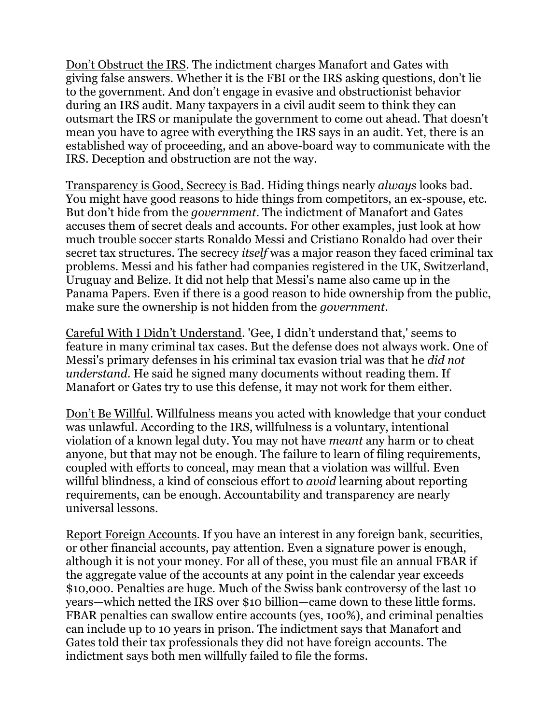Don't Obstruct the IRS. The indictment charges Manafort and Gates with giving false answers. Whether it is the FBI or the IRS asking questions, don't lie to the government. And don't engage in evasive and obstructionist behavior during an IRS audit. Many taxpayers in a civil audit seem to think they can outsmart the IRS or manipulate the government to come out ahead. That doesn't mean you have to agree with everything the IRS says in an audit. Yet, there is an established way of proceeding, and an above-board way to communicate with the IRS. Deception and obstruction are not the way.

Transparency is Good, Secrecy is Bad. Hiding things nearly *always* looks bad. You might have good reasons to hide things from competitors, an ex-spouse, etc. But don't hide from the *government*. The indictment of Manafort and Gates accuses them of secret deals and accounts. For other examples, just look at how much trouble soccer starts Ronaldo Messi and Cristiano Ronaldo had over their secret tax structures. The secrecy *itself* was a major reason they faced criminal tax problems. Messi and his father had companies registered in the UK, Switzerland, Uruguay and Belize. It did not help that Messi's name also came up in the Panama Papers. Even if there is a good reason to hide ownership from the public, make sure the ownership is not hidden from the *government*.

Careful With I Didn't Understand. 'Gee, I didn't understand that,' seems to feature in many criminal tax cases. But the defense does not always work. One of Messi's primary defenses in his criminal tax evasion trial was that he *did not understand*. He said he signed many documents without reading them. If Manafort or Gates try to use this defense, it may not work for them either.

Don't Be Willful. Willfulness means you acted with knowledge that your conduct was unlawful. According to the IRS, willfulness is a voluntary, intentional violation of a known legal duty. You may not have *meant* any harm or to cheat anyone, but that may not be enough. The failure to learn of filing requirements, coupled with efforts to conceal, may mean that a violation was willful. Even willful blindness, a kind of conscious effort to *avoid* learning about reporting requirements, can be enough. Accountability and transparency are nearly universal lessons.

Report Foreign Accounts. If you have an interest in any foreign bank, securities, or other financial accounts, pay attention. Even a signature power is enough, although it is not your money. For all of these, you must file an annual FBAR if the aggregate value of the accounts at any point in the calendar year exceeds \$10,000. Penalties are huge. Much of the Swiss bank controversy of the last 10 years—which netted the IRS over \$10 billion—came down to these little forms. FBAR penalties can swallow entire accounts (yes, 100%), and criminal penalties can include up to 10 years in prison. The indictment says that Manafort and Gates told their tax professionals they did not have foreign accounts. The indictment says both men willfully failed to file the forms.